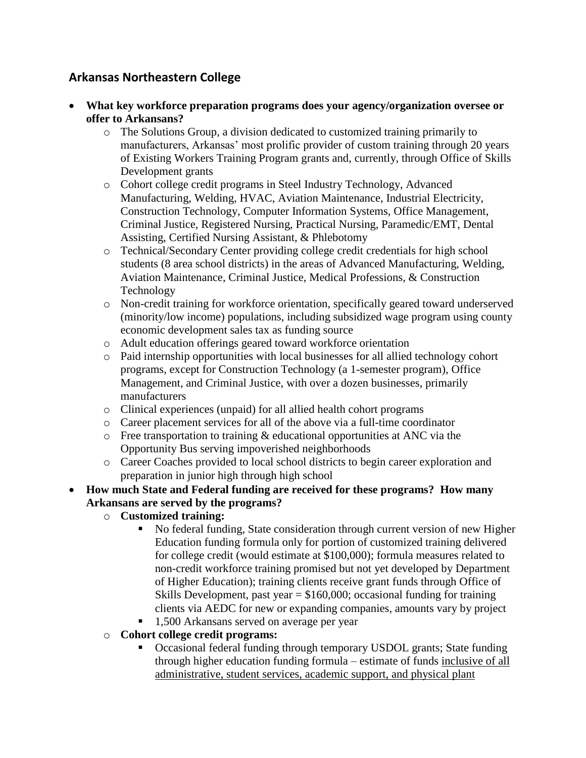## **Arkansas Northeastern College**

- **What key workforce preparation programs does your agency/organization oversee or offer to Arkansans?**
	- o The Solutions Group, a division dedicated to customized training primarily to manufacturers, Arkansas' most prolific provider of custom training through 20 years of Existing Workers Training Program grants and, currently, through Office of Skills Development grants
	- o Cohort college credit programs in Steel Industry Technology, Advanced Manufacturing, Welding, HVAC, Aviation Maintenance, Industrial Electricity, Construction Technology, Computer Information Systems, Office Management, Criminal Justice, Registered Nursing, Practical Nursing, Paramedic/EMT, Dental Assisting, Certified Nursing Assistant, & Phlebotomy
	- o Technical/Secondary Center providing college credit credentials for high school students (8 area school districts) in the areas of Advanced Manufacturing, Welding, Aviation Maintenance, Criminal Justice, Medical Professions, & Construction Technology
	- o Non-credit training for workforce orientation, specifically geared toward underserved (minority/low income) populations, including subsidized wage program using county economic development sales tax as funding source
	- o Adult education offerings geared toward workforce orientation
	- o Paid internship opportunities with local businesses for all allied technology cohort programs, except for Construction Technology (a 1-semester program), Office Management, and Criminal Justice, with over a dozen businesses, primarily manufacturers
	- o Clinical experiences (unpaid) for all allied health cohort programs
	- o Career placement services for all of the above via a full-time coordinator
	- o Free transportation to training & educational opportunities at ANC via the Opportunity Bus serving impoverished neighborhoods
	- o Career Coaches provided to local school districts to begin career exploration and preparation in junior high through high school

## **How much State and Federal funding are received for these programs? How many Arkansans are served by the programs?**

- o **Customized training:** 
	- No federal funding, State consideration through current version of new Higher Education funding formula only for portion of customized training delivered for college credit (would estimate at \$100,000); formula measures related to non-credit workforce training promised but not yet developed by Department of Higher Education); training clients receive grant funds through Office of Skills Development, past year  $= $160,000$ ; occasional funding for training clients via AEDC for new or expanding companies, amounts vary by project
	- 1,500 Arkansans served on average per year
- o **Cohort college credit programs:**
	- Occasional federal funding through temporary USDOL grants; State funding through higher education funding formula – estimate of funds inclusive of all administrative, student services, academic support, and physical plant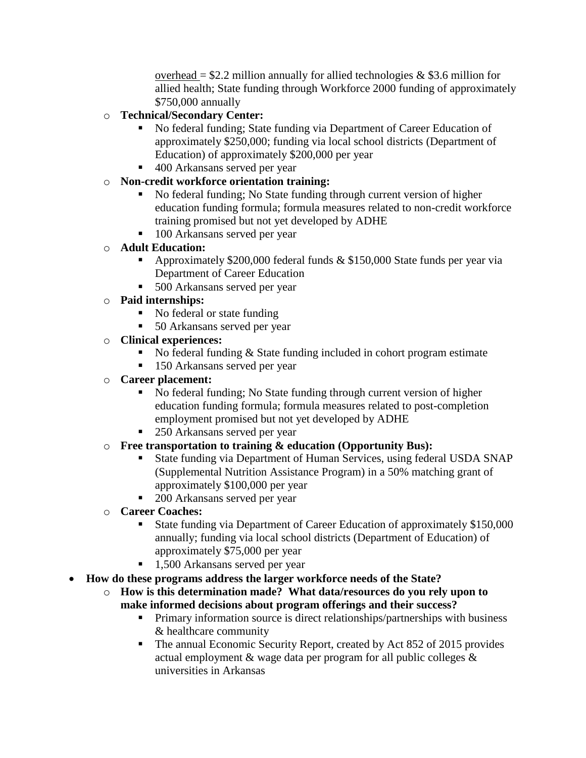overhead =  $$2.2$  million annually for allied technologies & \$3.6 million for allied health; State funding through Workforce 2000 funding of approximately \$750,000 annually

- o **Technical/Secondary Center:**
	- No federal funding; State funding via Department of Career Education of approximately \$250,000; funding via local school districts (Department of Education) of approximately \$200,000 per year
	- 400 Arkansans served per year
- o **Non-credit workforce orientation training:**
	- No federal funding; No State funding through current version of higher education funding formula; formula measures related to non-credit workforce training promised but not yet developed by ADHE
	- 100 Arkansans served per year
- o **Adult Education:**
	- Approximately \$200,000 federal funds & \$150,000 State funds per year via Department of Career Education
	- 500 Arkansans served per year
- o **Paid internships:**
	- No federal or state funding
	- 50 Arkansans served per year
- o **Clinical experiences:**
	- No federal funding  $&$  State funding included in cohort program estimate
	- 150 Arkansans served per year
- o **Career placement:**
	- No federal funding; No State funding through current version of higher education funding formula; formula measures related to post-completion employment promised but not yet developed by ADHE
	- 250 Arkansans served per year
- o **Free transportation to training & education (Opportunity Bus):**
	- State funding via Department of Human Services, using federal USDA SNAP (Supplemental Nutrition Assistance Program) in a 50% matching grant of approximately \$100,000 per year
	- 200 Arkansans served per year
- o **Career Coaches:**
	- State funding via Department of Career Education of approximately \$150,000 annually; funding via local school districts (Department of Education) of approximately \$75,000 per year
	- 1,500 Arkansans served per year
- **How do these programs address the larger workforce needs of the State?**
	- o **How is this determination made? What data/resources do you rely upon to make informed decisions about program offerings and their success?**
		- **Primary information source is direct relationships/partnerships with business** & healthcare community
		- The annual Economic Security Report, created by Act 852 of 2015 provides actual employment & wage data per program for all public colleges & universities in Arkansas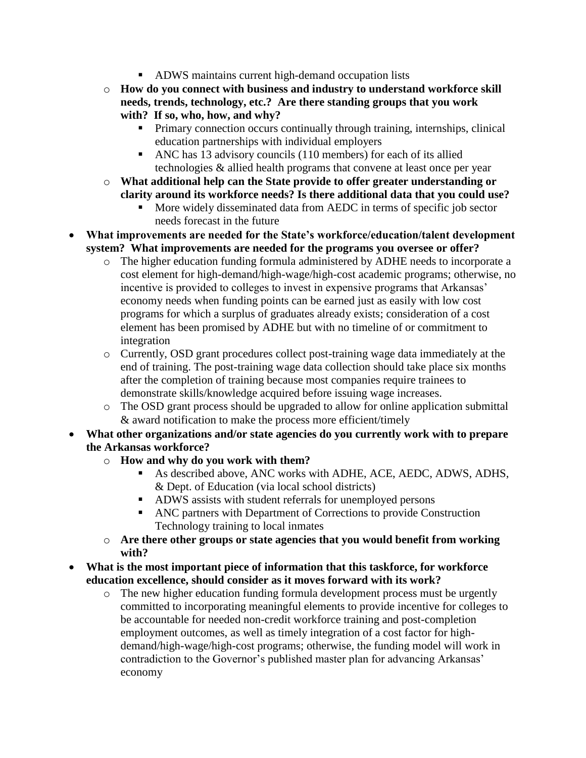- ADWS maintains current high-demand occupation lists
- o **How do you connect with business and industry to understand workforce skill needs, trends, technology, etc.? Are there standing groups that you work with? If so, who, how, and why?**
	- **Primary connection occurs continually through training, internships, clinical** education partnerships with individual employers
	- ANC has 13 advisory councils (110 members) for each of its allied technologies & allied health programs that convene at least once per year
- o **What additional help can the State provide to offer greater understanding or clarity around its workforce needs? Is there additional data that you could use?**
	- More widely disseminated data from AEDC in terms of specific job sector needs forecast in the future
- **What improvements are needed for the State's workforce/education/talent development system? What improvements are needed for the programs you oversee or offer?**
	- o The higher education funding formula administered by ADHE needs to incorporate a cost element for high-demand/high-wage/high-cost academic programs; otherwise, no incentive is provided to colleges to invest in expensive programs that Arkansas' economy needs when funding points can be earned just as easily with low cost programs for which a surplus of graduates already exists; consideration of a cost element has been promised by ADHE but with no timeline of or commitment to integration
	- o Currently, OSD grant procedures collect post-training wage data immediately at the end of training. The post-training wage data collection should take place six months after the completion of training because most companies require trainees to demonstrate skills/knowledge acquired before issuing wage increases.
	- o The OSD grant process should be upgraded to allow for online application submittal & award notification to make the process more efficient/timely
- **What other organizations and/or state agencies do you currently work with to prepare the Arkansas workforce?**
	- o **How and why do you work with them?**
		- As described above, ANC works with ADHE, ACE, AEDC, ADWS, ADHS, & Dept. of Education (via local school districts)
		- ADWS assists with student referrals for unemployed persons
		- ANC partners with Department of Corrections to provide Construction Technology training to local inmates
	- o **Are there other groups or state agencies that you would benefit from working with?**
- **What is the most important piece of information that this taskforce, for workforce education excellence, should consider as it moves forward with its work?**
	- o The new higher education funding formula development process must be urgently committed to incorporating meaningful elements to provide incentive for colleges to be accountable for needed non-credit workforce training and post-completion employment outcomes, as well as timely integration of a cost factor for highdemand/high-wage/high-cost programs; otherwise, the funding model will work in contradiction to the Governor's published master plan for advancing Arkansas' economy